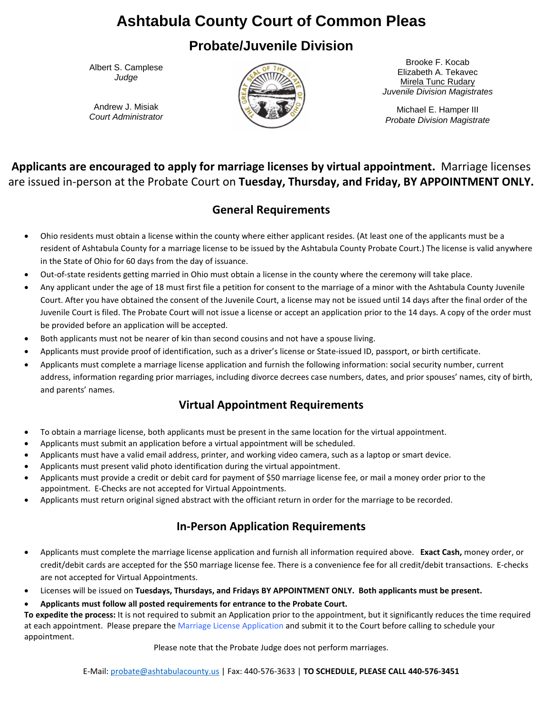## **Ashtabula County Court of Common Pleas**

## **Probate/Juvenile Division**

Albert S. Camplese *Judge*

Andrew J. Misiak *Court Administrator*



Brooke F. Kocab Elizabeth A. Tekavec Mirela Tunc Rudary *Juvenile Division Magistrates*

Michael E. Hamper III *Probate Division Magistrate*

**Applicants are encouraged to apply for marriage licenses by virtual appointment.** Marriage licenses are issued in-person at the Probate Court on **Tuesday, Thursday, and Friday, BY APPOINTMENT ONLY.**

#### **General Requirements**

- Ohio residents must obtain a license within the county where either applicant resides. (At least one of the applicants must be a resident of Ashtabula County for a marriage license to be issued by the Ashtabula County Probate Court.) The license is valid anywhere in the State of Ohio for 60 days from the day of issuance.
- Out-of-state residents getting married in Ohio must obtain a license in the county where the ceremony will take place.
- Any applicant under the age of 18 must first file a petition for consent to the marriage of a minor with the Ashtabula County Juvenile Court. After you have obtained the consent of the Juvenile Court, a license may not be issued until 14 days after the final order of the Juvenile Court is filed. The Probate Court will not issue a license or accept an application prior to the 14 days. A copy of the order must be provided before an application will be accepted.
- Both applicants must not be nearer of kin than second cousins and not have a spouse living.
- Applicants must provide proof of identification, such as a driver's license or State-issued ID, passport, or birth certificate.
- Applicants must complete a marriage license application and furnish the following information: social security number, current address, information regarding prior marriages, including divorce decrees case numbers, dates, and prior spouses' names, city of birth, and parents' names.

#### **Virtual Appointment Requirements**

- To obtain a marriage license, both applicants must be present in the same location for the virtual appointment.
- Applicants must submit an application before a virtual appointment will be scheduled.
- Applicants must have a valid email address, printer, and working video camera, such as a laptop or smart device.
- Applicants must present valid photo identification during the virtual appointment.
- Applicants must provide a credit or debit card for payment of \$50 marriage license fee, or mail a money order prior to the appointment. E-Checks are not accepted for Virtual Appointments.
- Applicants must return original signed abstract with the officiant return in order for the marriage to be recorded.

#### **In-Person Application Requirements**

- Applicants must complete the marriage license application and furnish all information required above. **Exact Cash,** money order, or credit/debit cards are accepted for the \$50 marriage license fee. There is a convenience fee for all credit/debit transactions. E-checks are not accepted for Virtual Appointments.
- Licenses will be issued on **Tuesdays, Thursdays, and Fridays BY APPOINTMENT ONLY. Both applicants must be present.**
- **Applicants must follow all posted requirements for entrance to the Probate Court.**

**To expedite the process:** It is not required to submit an Application prior to the appointment, but it significantly reduces the time required at each appointment. Please prepare the [Marriage License Application](http://courts.co.ashtabula.oh.us/forms/PB/ML/MLINFO.pdf) and submit it to the Court before calling to schedule your appointment.

Please note that the Probate Judge does not perform marriages.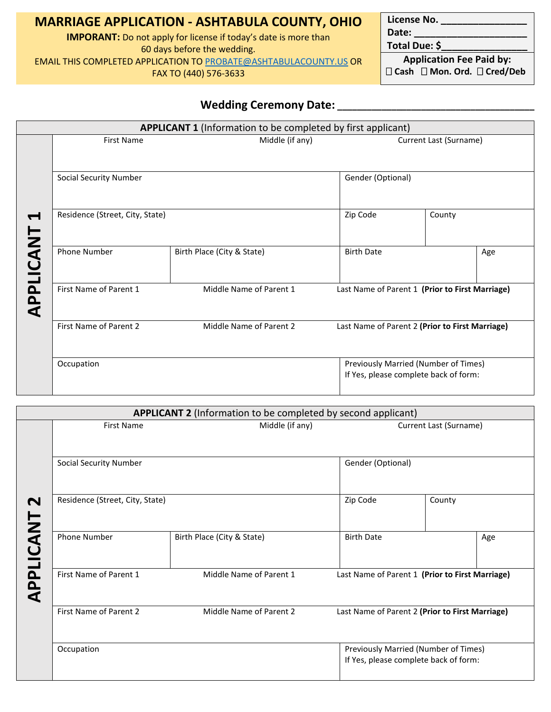### **MARRIAGE APPLICATION - ASHTABULA COUNTY, OHIO**

**IMPORANT:** Do not apply for license if today's date is more than 60 days before the wedding. EMAIL THIS COMPLETED APPLICATION TO [PROBATE@ASHTABULACOUNTY.US](mailto:probate@ashtabulacounty.us) OR FAX TO (440) 576-3633

License No. **Date: \_\_\_\_\_\_\_\_\_\_\_\_\_\_\_\_\_\_\_\_\_**

**Total Due: \$\_\_\_\_\_\_\_\_\_\_\_\_\_\_\_\_**

**Application Fee Paid by: Cash Mon. Ord. Cred/Deb**

#### **Wedding Ceremony Date: \_\_\_\_\_\_\_\_\_\_\_\_\_\_\_\_\_\_\_\_\_\_\_\_\_\_\_\_\_\_\_\_\_\_\_\_\_\_\_\_**

|                             |                                 | <b>APPLICANT 1</b> (Information to be completed by first applicant) |                                                 |                                                                               |     |  |  |
|-----------------------------|---------------------------------|---------------------------------------------------------------------|-------------------------------------------------|-------------------------------------------------------------------------------|-----|--|--|
| $\blacksquare$<br>APPLICANT | <b>First Name</b>               | Middle (if any)                                                     | Current Last (Surname)                          |                                                                               |     |  |  |
|                             | <b>Social Security Number</b>   |                                                                     | Gender (Optional)                               |                                                                               |     |  |  |
|                             | Residence (Street, City, State) |                                                                     | Zip Code                                        | County                                                                        |     |  |  |
|                             | <b>Phone Number</b>             | Birth Place (City & State)                                          | <b>Birth Date</b>                               |                                                                               | Age |  |  |
|                             | First Name of Parent 1          | Middle Name of Parent 1                                             | Last Name of Parent 1 (Prior to First Marriage) |                                                                               |     |  |  |
|                             | First Name of Parent 2          | Middle Name of Parent 2                                             | Last Name of Parent 2 (Prior to First Marriage) |                                                                               |     |  |  |
|                             | Occupation                      |                                                                     |                                                 | Previously Married (Number of Times)<br>If Yes, please complete back of form: |     |  |  |

| <b>First Name</b>               | Middle (if any)            |                   | Current Last (Surname)                          |
|---------------------------------|----------------------------|-------------------|-------------------------------------------------|
|                                 |                            |                   |                                                 |
| <b>Social Security Number</b>   |                            | Gender (Optional) |                                                 |
| Residence (Street, City, State) |                            | Zip Code          | County                                          |
| Phone Number                    | Birth Place (City & State) | <b>Birth Date</b> | Age                                             |
| First Name of Parent 1          | Middle Name of Parent 1    |                   | Last Name of Parent 1 (Prior to First Marriage) |
| First Name of Parent 2          | Middle Name of Parent 2    |                   | Last Name of Parent 2 (Prior to First Marriage) |
| Occupation                      |                            |                   | Previously Married (Number of Times)            |
|                                 |                            |                   | If Yes, please complete back of form:           |